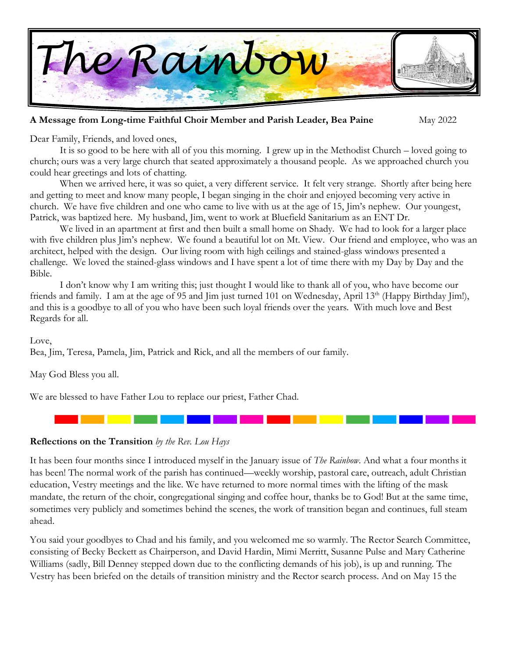

#### **A Message from Long-time Faithful Choir Member and Parish Leader, Bea Paine** May 2022

Dear Family, Friends, and loved ones,

It is so good to be here with all of you this morning. I grew up in the Methodist Church – loved going to church; ours was a very large church that seated approximately a thousand people. As we approached church you could hear greetings and lots of chatting.

When we arrived here, it was so quiet, a very different service. It felt very strange. Shortly after being here and getting to meet and know many people, I began singing in the choir and enjoyed becoming very active in church. We have five children and one who came to live with us at the age of 15, Jim's nephew. Our youngest, Patrick, was baptized here. My husband, Jim, went to work at Bluefield Sanitarium as an ENT Dr.

We lived in an apartment at first and then built a small home on Shady. We had to look for a larger place with five children plus Jim's nephew. We found a beautiful lot on Mt. View. Our friend and employee, who was an architect, helped with the design. Our living room with high ceilings and stained-glass windows presented a challenge. We loved the stained-glass windows and I have spent a lot of time there with my Day by Day and the Bible.

I don't know why I am writing this; just thought I would like to thank all of you, who have become our friends and family. I am at the age of 95 and Jim just turned 101 on Wednesday, April 13<sup>th</sup> (Happy Birthday Jim!), and this is a goodbye to all of you who have been such loyal friends over the years. With much love and Best Regards for all.

#### Love,

Bea, Jim, Teresa, Pamela, Jim, Patrick and Rick, and all the members of our family.

May God Bless you all.

We are blessed to have Father Lou to replace our priest, Father Chad.

**Reflections on the Transition** *by the Rev. Lou Hays*

It has been four months since I introduced myself in the January issue of *The Rainbow*. And what a four months it has been! The normal work of the parish has continued—weekly worship, pastoral care, outreach, adult Christian education, Vestry meetings and the like. We have returned to more normal times with the lifting of the mask mandate, the return of the choir, congregational singing and coffee hour, thanks be to God! But at the same time, sometimes very publicly and sometimes behind the scenes, the work of transition began and continues, full steam ahead.

You said your goodbyes to Chad and his family, and you welcomed me so warmly. The Rector Search Committee, consisting of Becky Beckett as Chairperson, and David Hardin, Mimi Merritt, Susanne Pulse and Mary Catherine Williams (sadly, Bill Denney stepped down due to the conflicting demands of his job), is up and running. The Vestry has been briefed on the details of transition ministry and the Rector search process. And on May 15 the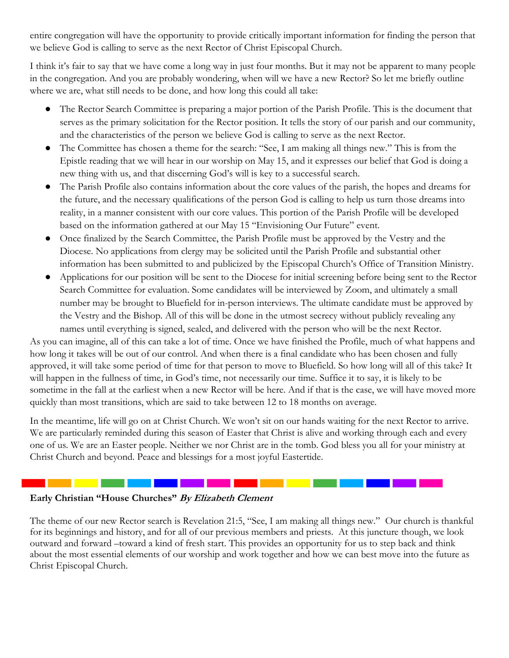entire congregation will have the opportunity to provide critically important information for finding the person that we believe God is calling to serve as the next Rector of Christ Episcopal Church.

I think it's fair to say that we have come a long way in just four months. But it may not be apparent to many people in the congregation. And you are probably wondering, when will we have a new Rector? So let me briefly outline where we are, what still needs to be done, and how long this could all take:

- The Rector Search Committee is preparing a major portion of the Parish Profile. This is the document that serves as the primary solicitation for the Rector position. It tells the story of our parish and our community, and the characteristics of the person we believe God is calling to serve as the next Rector.
- The Committee has chosen a theme for the search: "See, I am making all things new." This is from the Epistle reading that we will hear in our worship on May 15, and it expresses our belief that God is doing a new thing with us, and that discerning God's will is key to a successful search.
- The Parish Profile also contains information about the core values of the parish, the hopes and dreams for the future, and the necessary qualifications of the person God is calling to help us turn those dreams into reality, in a manner consistent with our core values. This portion of the Parish Profile will be developed based on the information gathered at our May 15 "Envisioning Our Future" event.
- Once finalized by the Search Committee, the Parish Profile must be approved by the Vestry and the Diocese. No applications from clergy may be solicited until the Parish Profile and substantial other information has been submitted to and publicized by the Episcopal Church's Office of Transition Ministry.
- Applications for our position will be sent to the Diocese for initial screening before being sent to the Rector Search Committee for evaluation. Some candidates will be interviewed by Zoom, and ultimately a small number may be brought to Bluefield for in-person interviews. The ultimate candidate must be approved by the Vestry and the Bishop. All of this will be done in the utmost secrecy without publicly revealing any names until everything is signed, sealed, and delivered with the person who will be the next Rector.

As you can imagine, all of this can take a lot of time. Once we have finished the Profile, much of what happens and how long it takes will be out of our control. And when there is a final candidate who has been chosen and fully approved, it will take some period of time for that person to move to Bluefield. So how long will all of this take? It will happen in the fullness of time, in God's time, not necessarily our time. Suffice it to say, it is likely to be sometime in the fall at the earliest when a new Rector will be here. And if that is the case, we will have moved more quickly than most transitions, which are said to take between 12 to 18 months on average.

In the meantime, life will go on at Christ Church. We won't sit on our hands waiting for the next Rector to arrive. We are particularly reminded during this season of Easter that Christ is alive and working through each and every one of us. We are an Easter people. Neither we nor Christ are in the tomb. God bless you all for your ministry at Christ Church and beyond. Peace and blessings for a most joyful Eastertide.

#### **Early Christian "House Churches" By Elizabeth Clement**

. . . . **. .** . . . . . . .

The theme of our new Rector search is Revelation 21:5, "See, I am making all things new." Our church is thankful for its beginnings and history, and for all of our previous members and priests. At this juncture though, we look outward and forward –toward a kind of fresh start. This provides an opportunity for us to step back and think about the most essential elements of our worship and work together and how we can best move into the future as Christ Episcopal Church.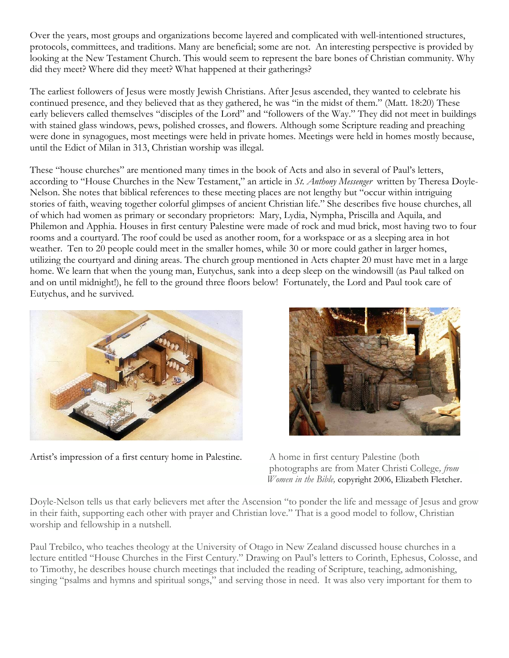Over the years, most groups and organizations become layered and complicated with well-intentioned structures, protocols, committees, and traditions. Many are beneficial; some are not. An interesting perspective is provided by looking at the New Testament Church. This would seem to represent the bare bones of Christian community. Why did they meet? Where did they meet? What happened at their gatherings?

The earliest followers of Jesus were mostly Jewish Christians. After Jesus ascended, they wanted to celebrate his continued presence, and they believed that as they gathered, he was "in the midst of them." (Matt. 18:20) These early believers called themselves "disciples of the Lord" and "followers of the Way." They did not meet in buildings with stained glass windows, pews, polished crosses, and flowers. Although some Scripture reading and preaching were done in synagogues, most meetings were held in private homes. Meetings were held in homes mostly because, until the Edict of Milan in 313, Christian worship was illegal.

These "house churches" are mentioned many times in the book of Acts and also in several of Paul's letters, according to "House Churches in the New Testament," an article in *St. Anthony Messenger* written by Theresa Doyle-Nelson. She notes that biblical references to these meeting places are not lengthy but "occur within intriguing stories of faith, weaving together colorful glimpses of ancient Christian life." She describes five house churches, all of which had women as primary or secondary proprietors: Mary, Lydia, Nympha, Priscilla and Aquila, and Philemon and Apphia. Houses in first century Palestine were made of rock and mud brick, most having two to four rooms and a courtyard. The roof could be used as another room, for a workspace or as a sleeping area in hot weather. Ten to 20 people could meet in the smaller homes, while 30 or more could gather in larger homes, utilizing the courtyard and dining areas. The church group mentioned in Acts chapter 20 must have met in a large home. We learn that when the young man, Eutychus, sank into a deep sleep on the windowsill (as Paul talked on and on until midnight!), he fell to the ground three floors below! Fortunately, the Lord and Paul took care of Eutychus, and he survived.



Artist's impression of a first century home in Palestine. A home in first century Palestine (both



 photographs are from Mater Christi College*, from Women in the Bible,* copyright 2006, Elizabeth Fletcher.

Doyle-Nelson tells us that early believers met after the Ascension "to ponder the life and message of Jesus and grow in their faith, supporting each other with prayer and Christian love." That is a good model to follow, Christian worship and fellowship in a nutshell.

Paul Trebilco, who teaches theology at the University of Otago in New Zealand discussed house churches in a lecture entitled "House Churches in the First Century." Drawing on Paul's letters to Corinth, Ephesus, Colosse, and to Timothy, he describes house church meetings that included the reading of Scripture, teaching, admonishing, singing "psalms and hymns and spiritual songs," and serving those in need. It was also very important for them to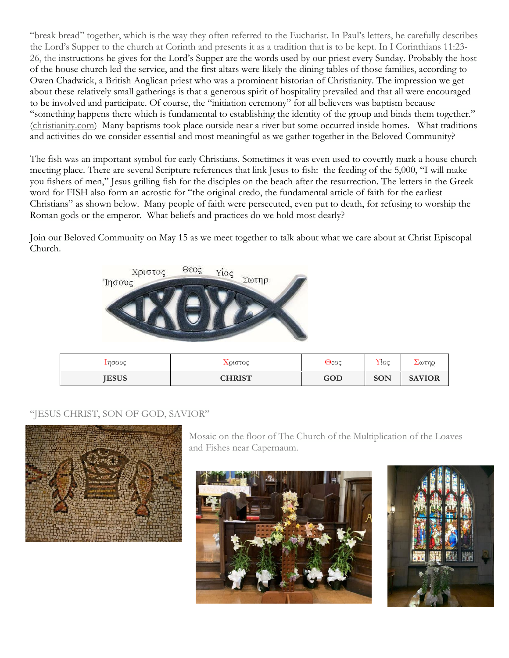"break bread" together, which is the way they often referred to the Eucharist. In Paul's letters, he carefully describes the Lord's Supper to the church at Corinth and presents it as a tradition that is to be kept. In I Corinthians 11:23- 26, the instructions he gives for the Lord's Supper are the words used by our priest every Sunday. Probably the host of the house church led the service, and the first altars were likely the dining tables of those families, according to Owen Chadwick, a British Anglican priest who was a prominent historian of Christianity. The impression we get about these relatively small gatherings is that a generous spirit of hospitality prevailed and that all were encouraged to be involved and participate. Of course, the "initiation ceremony" for all believers was baptism because "something happens there which is fundamental to establishing the identity of the group and binds them together." [\(christianity.com\)](http://christianity.com/) Many baptisms took place outside near a river but some occurred inside homes. What traditions and activities do we consider essential and most meaningful as we gather together in the Beloved Community?

The fish was an important symbol for early Christians. Sometimes it was even used to covertly mark a house church meeting place. There are several Scripture references that link Jesus to fish: the feeding of the 5,000, "I will make you fishers of men," Jesus grilling fish for the disciples on the beach after the resurrection. The letters in the Greek word for FISH also form an acrostic for "the original credo, the fundamental article of faith for the earliest Christians" as shown below. Many people of faith were persecuted, even put to death, for refusing to worship the Roman gods or the emperor. What beliefs and practices do we hold most dearly?

Join our Beloved Community on May 15 as we meet together to talk about what we care about at Christ Episcopal Church.



| Ιησους       | $\chi_{O}$ ιστος | Θεος | $\gamma$ loc | Σωτηρ         |
|--------------|------------------|------|--------------|---------------|
| <b>JESUS</b> | <b>CHRIST</b>    | GOD  | SON          | <b>SAVIOR</b> |

#### "JESUS CHRIST, SON OF GOD, SAVIOR"



Mosaic on the floor of The Church of the Multiplication of the Loaves and Fishes near Capernaum.



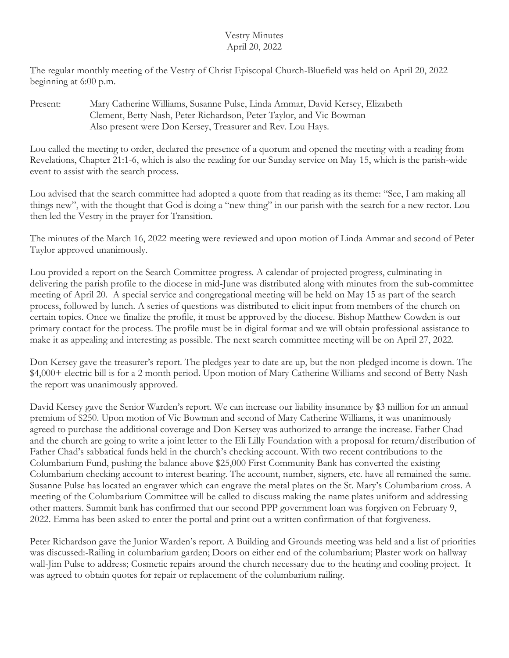#### Vestry Minutes April 20, 2022

The regular monthly meeting of the Vestry of Christ Episcopal Church-Bluefield was held on April 20, 2022 beginning at 6:00 p.m.

Present: Mary Catherine Williams, Susanne Pulse, Linda Ammar, David Kersey, Elizabeth Clement, Betty Nash, Peter Richardson, Peter Taylor, and Vic Bowman Also present were Don Kersey, Treasurer and Rev. Lou Hays.

Lou called the meeting to order, declared the presence of a quorum and opened the meeting with a reading from Revelations, Chapter 21:1-6, which is also the reading for our Sunday service on May 15, which is the parish-wide event to assist with the search process.

Lou advised that the search committee had adopted a quote from that reading as its theme: "See, I am making all things new", with the thought that God is doing a "new thing" in our parish with the search for a new rector. Lou then led the Vestry in the prayer for Transition.

The minutes of the March 16, 2022 meeting were reviewed and upon motion of Linda Ammar and second of Peter Taylor approved unanimously.

Lou provided a report on the Search Committee progress. A calendar of projected progress, culminating in delivering the parish profile to the diocese in mid-June was distributed along with minutes from the sub-committee meeting of April 20. A special service and congregational meeting will be held on May 15 as part of the search process, followed by lunch. A series of questions was distributed to elicit input from members of the church on certain topics. Once we finalize the profile, it must be approved by the diocese. Bishop Matthew Cowden is our primary contact for the process. The profile must be in digital format and we will obtain professional assistance to make it as appealing and interesting as possible. The next search committee meeting will be on April 27, 2022.

Don Kersey gave the treasurer's report. The pledges year to date are up, but the non-pledged income is down. The \$4,000+ electric bill is for a 2 month period. Upon motion of Mary Catherine Williams and second of Betty Nash the report was unanimously approved.

David Kersey gave the Senior Warden's report. We can increase our liability insurance by \$3 million for an annual premium of \$250. Upon motion of Vic Bowman and second of Mary Catherine Williams, it was unanimously agreed to purchase the additional coverage and Don Kersey was authorized to arrange the increase. Father Chad and the church are going to write a joint letter to the Eli Lilly Foundation with a proposal for return/distribution of Father Chad's sabbatical funds held in the church's checking account. With two recent contributions to the Columbarium Fund, pushing the balance above \$25,000 First Community Bank has converted the existing Columbarium checking account to interest bearing. The account, number, signers, etc. have all remained the same. Susanne Pulse has located an engraver which can engrave the metal plates on the St. Mary's Columbarium cross. A meeting of the Columbarium Committee will be called to discuss making the name plates uniform and addressing other matters. Summit bank has confirmed that our second PPP government loan was forgiven on February 9, 2022. Emma has been asked to enter the portal and print out a written confirmation of that forgiveness.

Peter Richardson gave the Junior Warden's report. A Building and Grounds meeting was held and a list of priorities was discussed:-Railing in columbarium garden; Doors on either end of the columbarium; Plaster work on hallway wall-Jim Pulse to address; Cosmetic repairs around the church necessary due to the heating and cooling project. It was agreed to obtain quotes for repair or replacement of the columbarium railing.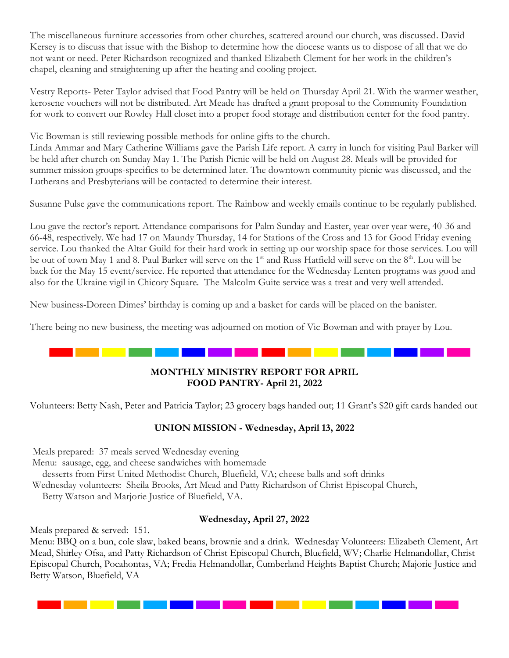The miscellaneous furniture accessories from other churches, scattered around our church, was discussed. David Kersey is to discuss that issue with the Bishop to determine how the diocese wants us to dispose of all that we do not want or need. Peter Richardson recognized and thanked Elizabeth Clement for her work in the children's chapel, cleaning and straightening up after the heating and cooling project.

Vestry Reports- Peter Taylor advised that Food Pantry will be held on Thursday April 21. With the warmer weather, kerosene vouchers will not be distributed. Art Meade has drafted a grant proposal to the Community Foundation for work to convert our Rowley Hall closet into a proper food storage and distribution center for the food pantry.

Vic Bowman is still reviewing possible methods for online gifts to the church.

Linda Ammar and Mary Catherine Williams gave the Parish Life report. A carry in lunch for visiting Paul Barker will be held after church on Sunday May 1. The Parish Picnic will be held on August 28. Meals will be provided for summer mission groups-specifics to be determined later. The downtown community picnic was discussed, and the Lutherans and Presbyterians will be contacted to determine their interest.

Susanne Pulse gave the communications report. The Rainbow and weekly emails continue to be regularly published.

Lou gave the rector's report. Attendance comparisons for Palm Sunday and Easter, year over year were, 40-36 and 66-48, respectively. We had 17 on Maundy Thursday, 14 for Stations of the Cross and 13 for Good Friday evening service. Lou thanked the Altar Guild for their hard work in setting up our worship space for those services. Lou will be out of town May 1 and 8. Paul Barker will serve on the 1<sup>st</sup> and Russ Hatfield will serve on the 8<sup>th</sup>. Lou will be back for the May 15 event/service. He reported that attendance for the Wednesday Lenten programs was good and also for the Ukraine vigil in Chicory Square. The Malcolm Guite service was a treat and very well attended.

New business-Doreen Dimes' birthday is coming up and a basket for cards will be placed on the banister.

There being no new business, the meeting was adjourned on motion of Vic Bowman and with prayer by Lou.

#### **MONTHLY MINISTRY REPORT FOR APRIL FOOD PANTRY- April 21, 2022**

Volunteers: Betty Nash, Peter and Patricia Taylor; 23 grocery bags handed out; 11 Grant's \$20 gift cards handed out

#### **UNION MISSION - Wednesday, April 13, 2022**

Meals prepared: 37 meals served Wednesday evening Menu: sausage, egg, and cheese sandwiches with homemade desserts from First United Methodist Church, Bluefield, VA; cheese balls and soft drinks Wednesday volunteers: Sheila Brooks, Art Mead and Patty Richardson of Christ Episcopal Church, Betty Watson and Marjorie Justice of Bluefield, VA.

#### **Wednesday, April 27, 2022**

Meals prepared & served: 151.

Menu: BBQ on a bun, cole slaw, baked beans, brownie and a drink. Wednesday Volunteers: Elizabeth Clement, Art Mead, Shirley Ofsa, and Patty Richardson of Christ Episcopal Church, Bluefield, WV; Charlie Helmandollar, Christ Episcopal Church, Pocahontas, VA; Fredia Helmandollar, Cumberland Heights Baptist Church; Majorie Justice and Betty Watson, Bluefield, VA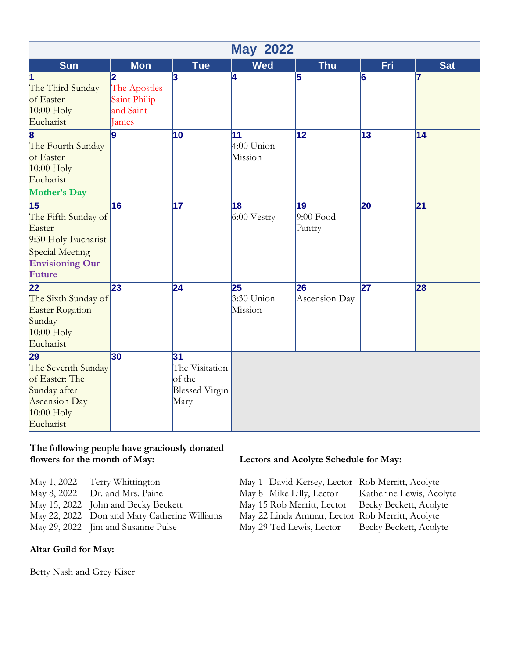| <b>May 2022</b>                                                                                                                |                                                         |                                                                 |                               |                                          |                 |                 |
|--------------------------------------------------------------------------------------------------------------------------------|---------------------------------------------------------|-----------------------------------------------------------------|-------------------------------|------------------------------------------|-----------------|-----------------|
| <b>Sun</b>                                                                                                                     | <b>Mon</b>                                              | <b>Tue</b>                                                      | <b>Wed</b>                    | <b>Thu</b>                               | Fri             | <b>Sat</b>      |
| The Third Sunday<br>of Easter<br>$10:00$ Holy<br>Eucharist                                                                     | 2<br>The Apostles<br>Saint Philip<br>and Saint<br>James | 3                                                               | 4                             | 5                                        | 6               | 17              |
| 8<br>The Fourth Sunday<br>of Easter<br>$10:00$ Holy<br>Eucharist<br>Mother's Day                                               | 9                                                       | 10                                                              | 11<br>$4:00$ Union<br>Mission | $\overline{12}$                          | 13              | 14              |
| $\overline{15}$<br>The Fifth Sunday of<br>Easter<br>9:30 Holy Eucharist<br>Special Meeting<br><b>Envisioning Our</b><br>Future | 16                                                      | $\overline{17}$                                                 | 18<br>$6:00$ Vestry           | $\overline{19}$<br>$9:00$ Food<br>Pantry | 20              | $\overline{21}$ |
| 22<br>The Sixth Sunday of<br>Easter Rogation<br>Sunday<br>$10:00$ Holy<br>Eucharist                                            | 23                                                      | $\overline{24}$                                                 | 25<br>$3:30$ Union<br>Mission | 26<br>Ascension Day                      | $\overline{27}$ | 28              |
| 29<br>The Seventh Sunday<br>of Easter: The<br>Sunday after<br>Ascension Day<br>$10:00$ Holy<br>Eucharist                       | 30                                                      | 31<br>The Visitation<br>of the<br><b>Blessed Virgin</b><br>Mary |                               |                                          |                 |                 |

## **The following people have graciously donated**

| May 1, 2022 Terry Whittington                |
|----------------------------------------------|
| May 8, 2022 Dr. and Mrs. Paine               |
| May 15, 2022 John and Becky Beckett          |
| May 22, 2022 Don and Mary Catherine Williams |
| May 29, 2022 Jim and Susanne Pulse           |

#### **Altar Guild for May:**

Betty Nash and Grey Kiser

#### Lectors and Acolyte Schedule for May:

May 1, David Kersey, Lector Rob Merritt, Acolyte<br>May 8 Mike Lilly, Lector Katherine Lewis, Acolyte May 8 Mike Lilly, Lector May 15 Rob Merritt, Lector Becky Beckett, Acolyte s May 22 Linda Ammar, Lector Rob Merritt, Acolyte

May 29 Ted Lewis, Lector Becky Beckett, Acolyte